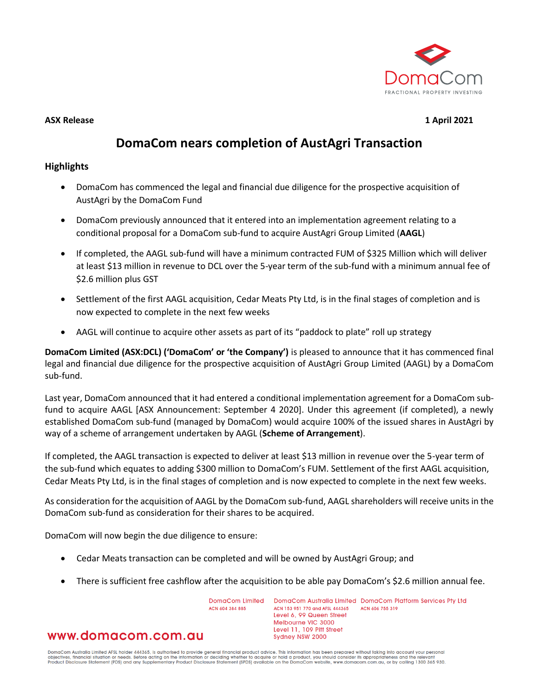

**ASX Release 1 April 2021**

# **DomaCom nears completion of AustAgri Transaction**

### **Highlights**

- DomaCom has commenced the legal and financial due diligence for the prospective acquisition of AustAgri by the DomaCom Fund
- DomaCom previously announced that it entered into an implementation agreement relating to a conditional proposal for a DomaCom sub-fund to acquire AustAgri Group Limited (**AAGL**)
- If completed, the AAGL sub-fund will have a minimum contracted FUM of \$325 Million which will deliver at least \$13 million in revenue to DCL over the 5-year term of the sub-fund with a minimum annual fee of \$2.6 million plus GST
- Settlement of the first AAGL acquisition, Cedar Meats Pty Ltd, is in the final stages of completion and is now expected to complete in the next few weeks
- AAGL will continue to acquire other assets as part of its "paddock to plate" roll up strategy

**DomaCom Limited (ASX:DCL) ('DomaCom' or 'the Company')** is pleased to announce that it has commenced final legal and financial due diligence for the prospective acquisition of AustAgri Group Limited (AAGL) by a DomaCom sub-fund.

Last year, DomaCom announced that it had entered a conditional implementation agreement for a DomaCom subfund to acquire AAGL [ASX Announcement: September 4 2020]. Under this agreement (if completed), a newly established DomaCom sub-fund (managed by DomaCom) would acquire 100% of the issued shares in AustAgri by way of a scheme of arrangement undertaken by AAGL (**Scheme of Arrangement**).

If completed, the AAGL transaction is expected to deliver at least \$13 million in revenue over the 5-year term of the sub-fund which equates to adding \$300 million to DomaCom's FUM. Settlement of the first AAGL acquisition, Cedar Meats Pty Ltd, is in the final stages of completion and is now expected to complete in the next few weeks.

As consideration for the acquisition of AAGL by the DomaCom sub-fund, AAGL shareholders will receive units in the DomaCom sub-fund as consideration for their shares to be acquired.

DomaCom will now begin the due diligence to ensure:

- Cedar Meats transaction can be completed and will be owned by AustAgri Group; and
- There is sufficient free cashflow after the acquisition to be able pay DomaCom's \$2.6 million annual fee.

DomgCom Limited DomaCom Australia Limited DomaCom Platform Services Pty Ltd ACN 604 384 885 ACN 153 951 770 and AFSL 444365 ACN 606 755 319 Level 6, 99 Queen Street Melbourne VIC 3000 Level 11, 109 Pitt Street **Sydney NSW 2000** 

## www.domacom.com.au

DomaCom Australia Limited AFSL holder 444365, is authorised to provide general financial product advice. This information has been prepared without taking into account your personal<br>objectives, financial situation or needs